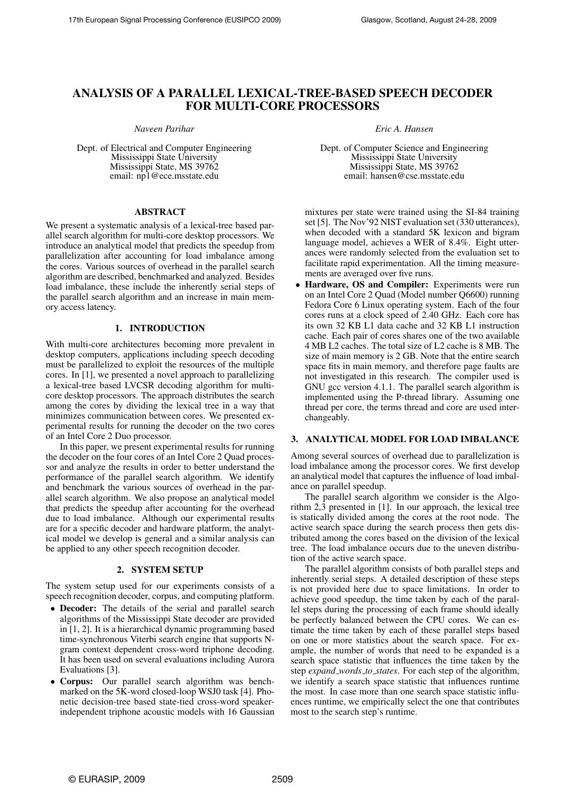# ANALYSIS OF A PARALLEL LEXICAL-TREE-BASED SPEECH DECODER FOR MULTI-CORE PROCESSORS

*Naveen Parihar*

Dept. of Electrical and Computer Engineering Mississippi State University Mississippi State, MS 39762 email: np1@ece.msstate.edu

### ABSTRACT

We present a systematic analysis of a lexical-tree based parallel search algorithm for multi-core desktop processors. We introduce an analytical model that predicts the speedup from parallelization after accounting for load imbalance among the cores. Various sources of overhead in the parallel search algorithm are described, benchmarked and analyzed. Besides load imbalance, these include the inherently serial steps of the parallel search algorithm and an increase in main memory access latency.

# 1. INTRODUCTION

With multi-core architectures becoming more prevalent in desktop computers, applications including speech decoding must be parallelized to exploit the resources of the multiple cores. In [1], we presented a novel approach to parallelizing a lexical-tree based LVCSR decoding algorithm for multicore desktop processors. The approach distributes the search among the cores by dividing the lexical tree in a way that minimizes communication between cores. We presented experimental results for running the decoder on the two cores of an Intel Core 2 Duo processor.

In this paper, we present experimental results for running the decoder on the four cores of an Intel Core 2 Quad processor and analyze the results in order to better understand the performance of the parallel search algorithm. We identify and benchmark the various sources of overhead in the parallel search algorithm. We also propose an analytical model that predicts the speedup after accounting for the overhead due to load imbalance. Although our experimental results are for a specific decoder and hardware platform, the analytical model we develop is general and a similar analysis can be applied to any other speech recognition decoder.

# 2. SYSTEM SETUP

The system setup used for our experiments consists of a speech recognition decoder, corpus, and computing platform.

- Decoder: The details of the serial and parallel search algorithms of the Mississippi State decoder are provided in [1, 2]. It is a hierarchical dynamic programming based time-synchronous Viterbi search engine that supports Ngram context dependent cross-word triphone decoding. It has been used on several evaluations including Aurora Evaluations [3].
- Corpus: Our parallel search algorithm was benchmarked on the 5K-word closed-loop WSJ0 task [4]. Phonetic decision-tree based state-tied cross-word speakerindependent triphone acoustic models with 16 Gaussian

*Eric A. Hansen*

Dept. of Computer Science and Engineering Mississippi State University Mississippi State, MS 39762 email: hansen@cse.msstate.edu

mixtures per state were trained using the SI-84 training set [5]. The Nov'92 NIST evaluation set (330 utterances), when decoded with a standard 5K lexicon and bigram language model, achieves a WER of 8.4%. Eight utterances were randomly selected from the evaluation set to facilitate rapid experimentation. All the timing measurements are averaged over five runs.

• Hardware, OS and Compiler: Experiments were run on an Intel Core 2 Quad (Model number Q6600) running Fedora Core 6 Linux operating system. Each of the four cores runs at a clock speed of 2.40 GHz. Each core has its own 32 KB L1 data cache and 32 KB L1 instruction cache. Each pair of cores shares one of the two available 4 MB L2 caches. The total size of L2 cache is 8 MB. The size of main memory is 2 GB. Note that the entire search space fits in main memory, and therefore page faults are not investigated in this research. The compiler used is GNU gcc version 4.1.1. The parallel search algorithm is implemented using the P-thread library. Assuming one thread per core, the terms thread and core are used interchangeably.

#### 3. ANALYTICAL MODEL FOR LOAD IMBALANCE

Among several sources of overhead due to parallelization is load imbalance among the processor cores. We first develop an analytical model that captures the influence of load imbalance on parallel speedup.

The parallel search algorithm we consider is the Algorithm 2,3 presented in [1]. In our approach, the lexical tree is statically divided among the cores at the root node. The active search space during the search process then gets distributed among the cores based on the division of the lexical tree. The load imbalance occurs due to the uneven distribution of the active search space.

The parallel algorithm consists of both parallel steps and inherently serial steps. A detailed description of these steps is not provided here due to space limitations. In order to achieve good speedup, the time taken by each of the parallel steps during the processing of each frame should ideally be perfectly balanced between the CPU cores. We can estimate the time taken by each of these parallel steps based on one or more statistics about the search space. For example, the number of words that need to be expanded is a search space statistic that influences the time taken by the step *expand words to states*. For each step of the algorithm, we identify a search space statistic that influences runtime the most. In case more than one search space statistic influences runtime, we empirically select the one that contributes most to the search step's runtime.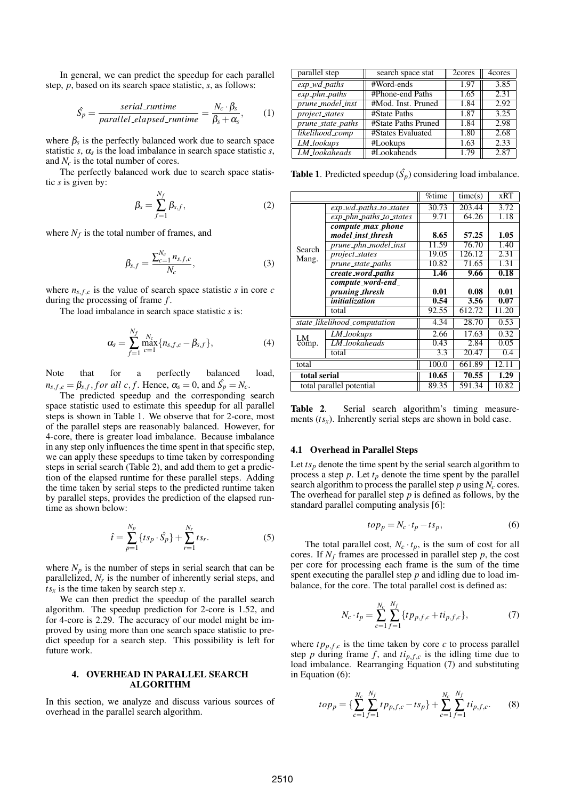In general, we can predict the speedup for each parallel step, *p*, based on its search space statistic, *s*, as follows:

$$
\hat{S}_p = \frac{serial\_runtime}{parallel\_elapped\_runtime} = \frac{N_c \cdot \beta_s}{\beta_s + \alpha_s},\qquad(1)
$$

where  $\beta_s$  is the perfectly balanced work due to search space statistic  $s$ ,  $\alpha_s$  is the load imbalance in search space statistic  $s$ , and *N<sup>c</sup>* is the total number of cores.

The perfectly balanced work due to search space statistic *s* is given by:

$$
\beta_s = \sum_{f=1}^{N_f} \beta_{s,f},\tag{2}
$$

where  $N_f$  is the total number of frames, and

$$
\beta_{s,f} = \frac{\sum_{c=1}^{N_c} n_{s,f,c}}{N_c},\tag{3}
$$

where  $n_{s,f,c}$  is the value of search space statistic *s* in core *c* during the processing of frame *f* .

The load imbalance in search space statistic *s* is:

$$
\alpha_{s} = \sum_{f=1}^{N_{f}} \max_{c=1}^{N_{c}} \{n_{s,f,c} - \beta_{s,f}\},
$$
\n(4)

Note that for a perfectly balanced load,  $n_{s,f,c} = \beta_{s,f},$  *f or all c*, *f*. Hence,  $\alpha_s = 0$ , and  $\hat{S_p} = N_c$ .

The predicted speedup and the corresponding search space statistic used to estimate this speedup for all parallel steps is shown in Table 1. We observe that for 2-core, most of the parallel steps are reasonably balanced. However, for 4-core, there is greater load imbalance. Because imbalance in any step only influences the time spent in that specific step, we can apply these speedups to time taken by corresponding steps in serial search (Table 2), and add them to get a prediction of the elapsed runtime for these parallel steps. Adding the time taken by serial steps to the predicted runtime taken by parallel steps, provides the prediction of the elapsed runtime as shown below:

$$
\hat{t} = \sum_{p=1}^{N_p} \{ts_p \cdot \hat{S_p}\} + \sum_{r=1}^{N_r} ts_r.
$$
 (5)

where  $N_p$  is the number of steps in serial search that can be parallelized,  $N_r$  is the number of inherently serial steps, and  $ts<sub>x</sub>$  is the time taken by search step *x*.

We can then predict the speedup of the parallel search algorithm. The speedup prediction for 2-core is 1.52, and for 4-core is 2.29. The accuracy of our model might be improved by using more than one search space statistic to predict speedup for a search step. This possibility is left for future work.

### 4. OVERHEAD IN PARALLEL SEARCH ALGORITHM

In this section, we analyze and discuss various sources of overhead in the parallel search algorithm.

| parallel step                | search space stat   | 2cores | 4cores |
|------------------------------|---------------------|--------|--------|
| $exp_w d_paths$              | #Word-ends          | 1.97   | 3.85   |
| $exp_1$ <sub>phn_paths</sub> | #Phone-end Paths    | 1.65   | 2.31   |
| prune_model_inst             | #Mod. Inst. Pruned  | 1.84   | 2.92   |
| $\overline{project}\_states$ | #State Paths        | 1.87   | 3.25   |
| prune_state_paths            | #State Paths Pruned | 1.84   | 2.98   |
| likelihood_comp              | #States Evaluated   | 1.80   | 2.68   |
| LM_lookups                   | #Lookups            | 1.63   | 2.33   |
| LM_lookaheads                | #Lookaheads         | 1.79   | 2.87   |

**Table 1**. Predicted speedup  $(\hat{S_p})$  considering load imbalance.

|                     |                               | %time | time(s) | <b>xRT</b> |
|---------------------|-------------------------------|-------|---------|------------|
|                     | exp_wd_paths_to_states        | 30.73 | 203.44  | 3.72       |
|                     | $exp\_phn\_paths\_to\_states$ | 9.71  | 64.26   | 1.18       |
|                     | compute_max_phone             |       |         |            |
|                     | model_inst_thresh             | 8.65  | 57.25   | 1.05       |
| Search              | prune_phn_model_inst          | 11.59 | 76.70   | 1.40       |
| Mang.               | <i>project_states</i>         | 19.05 | 126.12  | 2.31       |
|                     | prune_state_paths             | 10.82 | 71.65   | 1.31       |
|                     | create_word_paths             | 1.46  | 9.66    | 0.18       |
|                     | compute_word-end_             |       |         |            |
|                     | pruning_thresh                | 0.01  | 0.08    | 0.01       |
|                     | initialization                | 0.54  | 3.56    | 0.07       |
|                     | total                         | 92.55 | 612.72  | 11.20      |
|                     | state_likelihood_computation  | 4.34  | 28.70   | 0.53       |
|                     | LM_lookups                    | 2.66  | 17.63   | 0.32       |
| LM <sub>comp.</sub> | LM_lookaheads                 | 0.43  | 2.84    | 0.05       |
|                     | total                         | 3.3   | 20.47   | 0.4        |
| total               |                               | 100.0 | 661.89  | 12.11      |
| total serial        |                               | 10.65 | 70.55   | 1.29       |
|                     | total parallel potential      | 89.35 | 591.34  | 10.82      |

Table 2. Serial search algorithm's timing measurements ( $ts_x$ ). Inherently serial steps are shown in bold case.

#### 4.1 Overhead in Parallel Steps

Let  $ts_p$  denote the time spent by the serial search algorithm to process a step  $p$ . Let  $t_p$  denote the time spent by the parallel search algorithm to process the parallel step  $p$  using  $N_c$  cores. The overhead for parallel step *p* is defined as follows, by the standard parallel computing analysis [6]:

$$
top_p = N_c \cdot t_p - t s_p, \tag{6}
$$

The total parallel cost,  $N_c \cdot t_p$ , is the sum of cost for all cores. If  $N_f$  frames are processed in parallel step  $p$ , the cost per core for processing each frame is the sum of the time spent executing the parallel step *p* and idling due to load imbalance, for the core. The total parallel cost is defined as:

$$
N_c \cdot t_p = \sum_{c=1}^{N_c} \sum_{f=1}^{N_f} \{tp_{p,f,c} + ti_{p,f,c}\},\tag{7}
$$

where  $tp_{p,f,c}$  is the time taken by core *c* to process parallel step *p* during frame *f*, and  $t_{p,f,c}$  is the idling time due to load imbalance. Rearranging Equation (7) and substituting in Equation (6):

$$
top_p = \left\{ \sum_{c=1}^{N_c} \sum_{f=1}^{N_f} t p_{p,f,c} - t s_p \right\} + \sum_{c=1}^{N_c} \sum_{f=1}^{N_f} t i_{p,f,c}. \tag{8}
$$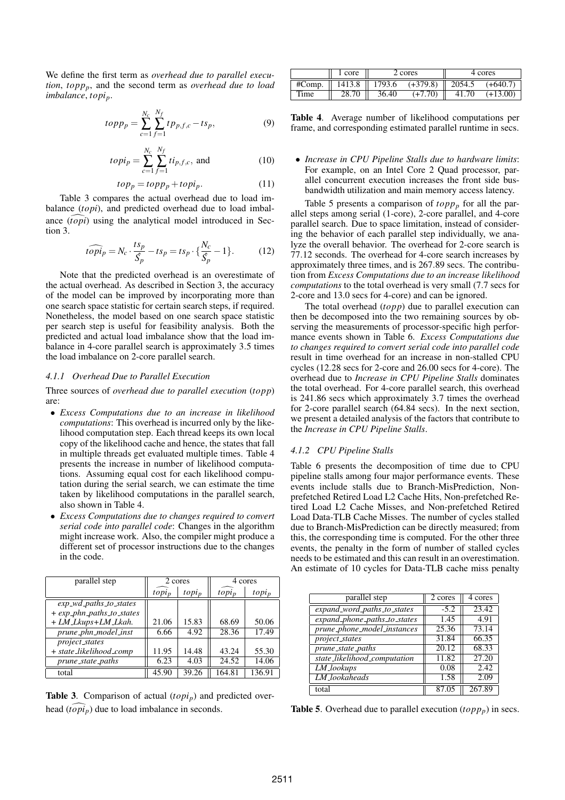We define the first term as *overhead due to parallel execution*, *toppp*, and the second term as *overhead due to load imbalance*, *topip*.

$$
topp_p = \sum_{c=1}^{N_c} \sum_{f=1}^{N_f} t p_{p,f,c} - t s_p,
$$
 (9)

$$
topi_p = \sum_{c=1}^{N_c} \sum_{f=1}^{N_f} t i_{p,f,c}, \text{ and } (10)
$$

$$
top_p = topp_p + topi_p. \tag{11}
$$

Table 3 compares the actual overhead due to load imbalance (*topi*), and predicted overhead due to load imbalance (*topi*) using the analytical model introduced in Section 3.

$$
\widehat{topip} = N_c \cdot \frac{ts_p}{\hat{S_p}} - ts_p = ts_p \cdot \left\{ \frac{N_c}{\hat{S_p}} - 1 \right\}.
$$
 (12)

Note that the predicted overhead is an overestimate of the actual overhead. As described in Section 3, the accuracy of the model can be improved by incorporating more than one search space statistic for certain search steps, if required. Nonetheless, the model based on one search space statistic per search step is useful for feasibility analysis. Both the predicted and actual load imbalance show that the load imbalance in 4-core parallel search is approximately 3.5 times the load imbalance on 2-core parallel search.

#### *4.1.1 Overhead Due to Parallel Execution*

Three sources of *overhead due to parallel execution* (*topp*) are:

- *Excess Computations due to an increase in likelihood computations*: This overhead is incurred only by the likelihood computation step. Each thread keeps its own local copy of the likelihood cache and hence, the states that fall in multiple threads get evaluated multiple times. Table 4 presents the increase in number of likelihood computations. Assuming equal cost for each likelihood computation during the serial search, we can estimate the time taken by likelihood computations in the parallel search, also shown in Table 4.
- *Excess Computations due to changes required to convert serial code into parallel code*: Changes in the algorithm might increase work. Also, the compiler might produce a different set of processor instructions due to the changes in the code.

| parallel step                | 2 cores  |          | 4 cores            |          |
|------------------------------|----------|----------|--------------------|----------|
|                              | $topi_p$ | $topi_p$ | $topi_p$           | $topi_p$ |
| $exp\_wd\_paths\_to\_states$ |          |          |                    |          |
| + exp_phn_paths_to_states    |          |          |                    |          |
| + LM_Lkups+LM_Lkah.          | 21.06    | 15.83    | 68.69              | 50.06    |
| prune_phn_model_inst         | 6.66     | 4.92     | $\overline{28.36}$ | 17.49    |
| <i>project_states</i>        |          |          |                    |          |
| + state_likelihood_comp      | 11.95    | 14.48    | 43.24              | 55.30    |
| prune_state_paths            | 6.23     | 4.03     | 24.52              | 14.06    |
| total                        | 45.90    | 39.26    | 164.81             | 136.91   |

Table 3. Comparison of actual (*topi<sub>p</sub>*) and predicted overhead  $(t \circ pi_p)$  due to load imbalance in seconds.

|        | 1 core<br>2 cores |                 |            |        | 4 cores    |
|--------|-------------------|-----------------|------------|--------|------------|
| #Comp. | 1413.8            | $\sqrt{1793.6}$ | $(+379.8)$ | 2054.5 | $(+640.7)$ |
| Time   | 28.70             | 36.40           | $(+7.70)$  | 41.70  | $(+13.00)$ |

Table 4. Average number of likelihood computations per frame, and corresponding estimated parallel runtime in secs.

• *Increase in CPU Pipeline Stalls due to hardware limits*: For example, on an Intel Core 2 Quad processor, parallel concurrent execution increases the front side busbandwidth utilization and main memory access latency.

Table 5 presents a comparison of  $topp_p$  for all the parallel steps among serial (1-core), 2-core parallel, and 4-core parallel search. Due to space limitation, instead of considering the behavior of each parallel step individually, we analyze the overall behavior. The overhead for 2-core search is 77.12 seconds. The overhead for 4-core search increases by approximately three times, and is 267.89 secs. The contribution from *Excess Computations due to an increase likelihood computations* to the total overhead is very small (7.7 secs for 2-core and 13.0 secs for 4-core) and can be ignored.

The total overhead (*topp*) due to parallel execution can then be decomposed into the two remaining sources by observing the measurements of processor-specific high performance events shown in Table 6. *Excess Computations due to changes required to convert serial code into parallel code* result in time overhead for an increase in non-stalled CPU cycles (12.28 secs for 2-core and 26.00 secs for 4-core). The overhead due to *Increase in CPU Pipeline Stalls* dominates the total overhead. For 4-core parallel search, this overhead is 241.86 secs which approximately 3.7 times the overhead for 2-core parallel search (64.84 secs). In the next section, we present a detailed analysis of the factors that contribute to the *Increase in CPU Pipeline Stalls*.

# *4.1.2 CPU Pipeline Stalls*

Table 6 presents the decomposition of time due to CPU pipeline stalls among four major performance events. These events include stalls due to Branch-MisPrediction, Nonprefetched Retired Load L2 Cache Hits, Non-prefetched Retired Load L2 Cache Misses, and Non-prefetched Retired Load Data-TLB Cache Misses. The number of cycles stalled due to Branch-MisPrediction can be directly measured; from this, the corresponding time is computed. For the other three events, the penalty in the form of number of stalled cycles needs to be estimated and this can result in an overestimation. An estimate of 10 cycles for Data-TLB cache miss penalty

| parallel step                | 2 cores | 4 cores |
|------------------------------|---------|---------|
| expand_word_paths_to_states  | $-5.2$  | 23.42   |
| expand_phone_paths_to_states | 1.45    | 4.91    |
| prune_phone_model_instances  | 25.36   | 73.14   |
| project_states               | 31.84   | 66.35   |
| prune_state_paths            | 20.12   | 68.33   |
| state_likelihood_computation | 11.82   | 27.20   |
| <b>LM_lookups</b>            | 0.08    | 2.42    |
| LM_lookaheads                | 1.58    | 2.09    |
| total                        |         | 267.89  |

**Table 5.** Overhead due to parallel execution  $(topp_p)$  in secs.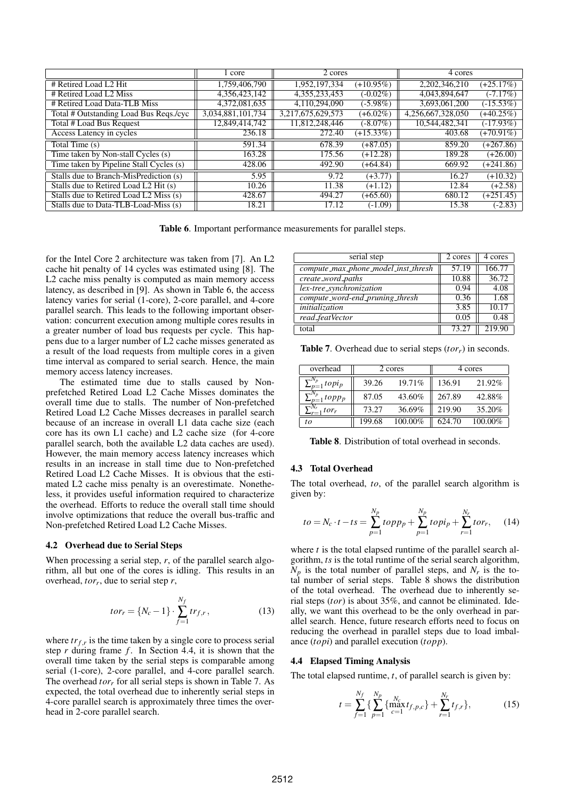|                                         | 1 core            | 2 cores           |              | 4 cores           |              |
|-----------------------------------------|-------------------|-------------------|--------------|-------------------|--------------|
| # Retired Load L2 Hit                   | 1,759,406,790     | 1,952,197,334     | $(+10.95\%)$ | 2,202,346,210     | $(+25.17%)$  |
| # Retired Load L2 Miss                  | 4,356,423,142     | 4, 355, 233, 453  | $(-0.02\%)$  | 4,043,894,647     | $(-7.17%)$   |
| # Retired Load Data-TLB Miss            | 4,372,081,635     | 4.110.294.090     | $(-5.98\%)$  | 3,693,061,200     | $(-15.53%)$  |
| Total # Outstanding Load Bus Reqs./cyc  | 3,034,881,101,734 | 3,217,675,629,573 | $(+6.02\%)$  | 4,256,667,328,050 | $(+40.25\%)$ |
| Total # Load Bus Request                | 12,849,414,742    | 11,812,248,446    | $(-8.07\%)$  | 10,544,482,341    | $(-17.93%)$  |
| Access Latency in cycles                | 236.18            | 272.40            | $(+15.33%)$  | 403.68            | $(+70.91\%)$ |
| Total Time (s)                          | 591.34            | 678.39            | $(+87.05)$   | 859.20            | $(+267.86)$  |
| Time taken by Non-stall Cycles (s)      | 163.28            | 175.56            | $(+12.28)$   | 189.28            | $(+26.00)$   |
| Time taken by Pipeline Stall Cycles (s) | 428.06            | 492.90            | $(+64.84)$   | 669.92            | $(+241.86)$  |
| Stalls due to Branch-MisPrediction (s)  | 5.95              | 9.72              | $(+3.77)$    | 16.27             | $(+10.32)$   |
| Stalls due to Retired Load L2 Hit (s)   | 10.26             | 11.38             | $(+1.12)$    | 12.84             | $(+2.58)$    |
| Stalls due to Retired Load L2 Miss (s)  | 428.67            | 494.27            | $(+65.60)$   | 680.12            | $(+251.45)$  |
| Stalls due to Data-TLB-Load-Miss (s)    | 18.21             | 17.12             | $(-1.09)$    | 15.38             | $(-2.83)$    |

Table 6. Important performance measurements for parallel steps.

for the Intel Core 2 architecture was taken from [7]. An L2 cache hit penalty of 14 cycles was estimated using [8]. The L<sub>2</sub> cache miss penalty is computed as main memory access latency, as described in [9]. As shown in Table 6, the access latency varies for serial (1-core), 2-core parallel, and 4-core parallel search. This leads to the following important observation: concurrent execution among multiple cores results in a greater number of load bus requests per cycle. This happens due to a larger number of L2 cache misses generated as a result of the load requests from multiple cores in a given time interval as compared to serial search. Hence, the main memory access latency increases.

The estimated time due to stalls caused by Nonprefetched Retired Load L2 Cache Misses dominates the overall time due to stalls. The number of Non-prefetched Retired Load L2 Cache Misses decreases in parallel search because of an increase in overall L1 data cache size (each core has its own L1 cache) and L2 cache size (for 4-core parallel search, both the available L2 data caches are used). However, the main memory access latency increases which results in an increase in stall time due to Non-prefetched Retired Load L2 Cache Misses. It is obvious that the estimated L2 cache miss penalty is an overestimate. Nonetheless, it provides useful information required to characterize the overhead. Efforts to reduce the overall stall time should involve optimizations that reduce the overall bus-traffic and Non-prefetched Retired Load L2 Cache Misses.

#### 4.2 Overhead due to Serial Steps

When processing a serial step, *r*, of the parallel search algorithm, all but one of the cores is idling. This results in an overhead, *tor<sup>r</sup>* , due to serial step *r*,

$$
tor_r = \{N_c - 1\} \cdot \sum_{f=1}^{N_f} tr_{f,r},
$$
\n(13)

where  $tr_{f,r}$  is the time taken by a single core to process serial step *r* during frame *f*. In Section 4.4, it is shown that the overall time taken by the serial steps is comparable among serial (1-core), 2-core parallel, and 4-core parallel search. The overhead *tor<sub>r</sub>* for all serial steps is shown in Table 7. As expected, the total overhead due to inherently serial steps in 4-core parallel search is approximately three times the overhead in 2-core parallel search.

| serial step                         | 2 cores | 4 cores |
|-------------------------------------|---------|---------|
| compute_max_phone_model_inst_thresh | 57.19   | 166.77  |
| create_word_paths                   | 10.88   | 36.72   |
| lex-tree_synchronization            | 0.94    | 4.08    |
| compute_word-end_pruning_thresh     | 0.36    | 1.68    |
| initialization                      | 3.85    | 10.17   |
| read_featVector                     | 0.05    | 0.48    |
| total                               | 73.27   | 219.90  |

Table 7. Overhead due to serial steps (*torr*) in seconds.

| overhead                                    |        | 2 cores | 4 cores |         |  |
|---------------------------------------------|--------|---------|---------|---------|--|
| $\sum_{p=1}^{N_p} topi_p$                   | 39.26  | 19.71%  | 136.91  | 21.92%  |  |
| $\sum_{p=1}^{N_p}topp_p$                    | 87.05  | 43.60%  | 267.89  | 42.88%  |  |
| $\sum_{r=1}^{N_r}$<br>$_1$ tor <sub>r</sub> | 73.27  | 36.69%  | 219.90  | 35.20%  |  |
| to                                          | 199.68 | 100.00% | 624.70  | 100.00% |  |

Table 8. Distribution of total overhead in seconds.

#### 4.3 Total Overhead

The total overhead, *to*, of the parallel search algorithm is given by:

$$
to = N_c \cdot t - ts = \sum_{p=1}^{N_p} topp_p + \sum_{p=1}^{N_p} topi_p + \sum_{r=1}^{N_r} tor_r,
$$
 (14)

where *t* is the total elapsed runtime of the parallel search algorithm, *ts* is the total runtime of the serial search algorithm,  $N_p$  is the total number of parallel steps, and  $N_r$  is the total number of serial steps. Table 8 shows the distribution of the total overhead. The overhead due to inherently serial steps (*tor*) is about 35%, and cannot be eliminated. Ideally, we want this overhead to be the only overhead in parallel search. Hence, future research efforts need to focus on reducing the overhead in parallel steps due to load imbalance (*topi*) and parallel execution (*topp*).

#### 4.4 Elapsed Timing Analysis

The total elapsed runtime, *t*, of parallel search is given by:

$$
t = \sum_{f=1}^{N_f} \{ \sum_{p=1}^{N_p} \{ \max_{c=1}^{N_c} t_{f,p,c} \} + \sum_{r=1}^{N_r} t_{f,r} \},
$$
(15)